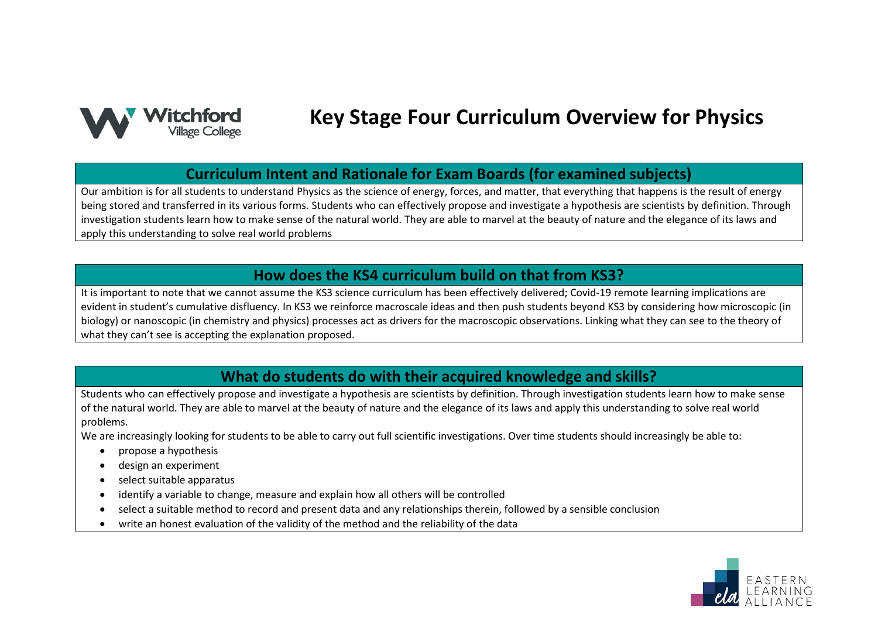

# **Key Stage Four Curriculum Overview for Physics**

#### **Curriculum Intent and Rationale for Exam Boards (for examined subjects)**

Our ambition is for all students to understand Physics as the science of energy, forces, and matter, that everything that happens is the result of energy being stored and transferred in its various forms. Students who can effectively propose and investigate a hypothesis are scientists by definition. Through investigation students learn how to make sense of the natural world. They are able to marvel at the beauty of nature and the elegance of its laws and apply this understanding to solve real world problems

#### **How does the KS4 curriculum build on that from KS3?**

It is important to note that we cannot assume the KS3 science curriculum has been effectively delivered; Covid-19 remote learning implications are evident in student's cumulative disfluency. In KS3 we reinforce macroscale ideas and then push students beyond KS3 by considering how microscopic (in biology) or nanoscopic (in chemistry and physics) processes act as drivers for the macroscopic observations. Linking what they can see to the theory of what they can't see is accepting the explanation proposed.

### **What do students do with their acquired knowledge and skills?**

Students who can effectively propose and investigate a hypothesis are scientists by definition. Through investigation students learn how to make sense of the natural world. They are able to marvel at the beauty of nature and the elegance of its laws and apply this understanding to solve real world problems.

We are increasingly looking for students to be able to carry out full scientific investigations. Over time students should increasingly be able to:

- propose a hypothesis
- design an experiment
- select suitable apparatus
- identify a variable to change, measure and explain how all others will be controlled
- select a suitable method to record and present data and any relationships therein, followed by a sensible conclusion
- write an honest evaluation of the validity of the method and the reliability of the data

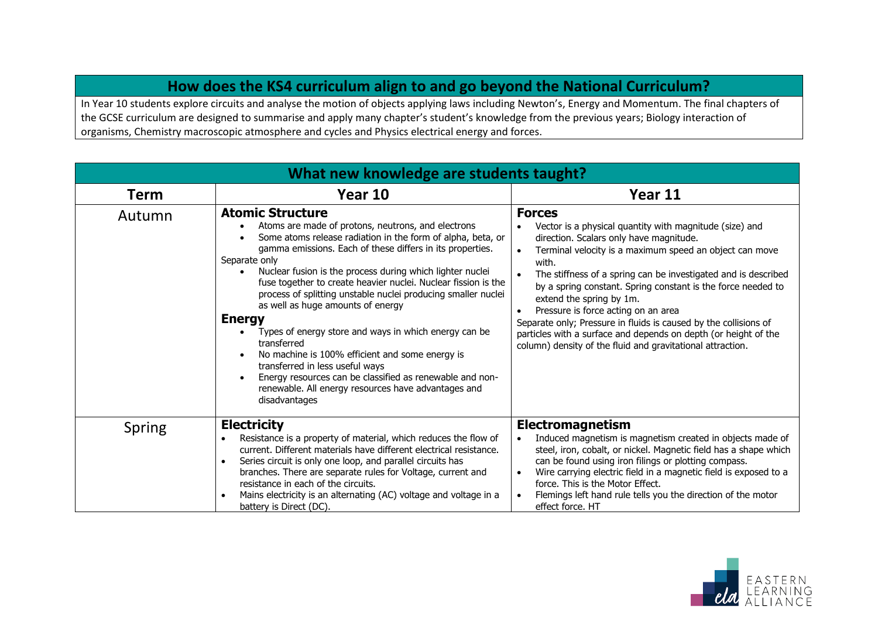## **How does the KS4 curriculum align to and go beyond the National Curriculum?**

In Year 10 students explore circuits and analyse the motion of objects applying laws including Newton's, Energy and Momentum. The final chapters of the GCSE curriculum are designed to summarise and apply many chapter's student's knowledge from the previous years; Biology interaction of organisms, Chemistry macroscopic atmosphere and cycles and Physics electrical energy and forces.

| What new knowledge are students taught? |                                                                                                                                                                                                                                                                                                                                                                                                                                                                                                                                                                                                                                                                                                                                                                                    |                                                                                                                                                                                                                                                                                                                                                                                                                                                                                                                                                                                                                                          |  |
|-----------------------------------------|------------------------------------------------------------------------------------------------------------------------------------------------------------------------------------------------------------------------------------------------------------------------------------------------------------------------------------------------------------------------------------------------------------------------------------------------------------------------------------------------------------------------------------------------------------------------------------------------------------------------------------------------------------------------------------------------------------------------------------------------------------------------------------|------------------------------------------------------------------------------------------------------------------------------------------------------------------------------------------------------------------------------------------------------------------------------------------------------------------------------------------------------------------------------------------------------------------------------------------------------------------------------------------------------------------------------------------------------------------------------------------------------------------------------------------|--|
| <b>Term</b>                             | Year 10                                                                                                                                                                                                                                                                                                                                                                                                                                                                                                                                                                                                                                                                                                                                                                            | Year 11                                                                                                                                                                                                                                                                                                                                                                                                                                                                                                                                                                                                                                  |  |
| Autumn                                  | <b>Atomic Structure</b><br>Atoms are made of protons, neutrons, and electrons<br>Some atoms release radiation in the form of alpha, beta, or<br>gamma emissions. Each of these differs in its properties.<br>Separate only<br>Nuclear fusion is the process during which lighter nuclei<br>fuse together to create heavier nuclei. Nuclear fission is the<br>process of splitting unstable nuclei producing smaller nuclei<br>as well as huge amounts of energy<br><b>Energy</b><br>Types of energy store and ways in which energy can be<br>transferred<br>No machine is 100% efficient and some energy is<br>transferred in less useful ways<br>Energy resources can be classified as renewable and non-<br>renewable. All energy resources have advantages and<br>disadvantages | <b>Forces</b><br>Vector is a physical quantity with magnitude (size) and<br>$\bullet$<br>direction. Scalars only have magnitude.<br>Terminal velocity is a maximum speed an object can move<br>$\bullet$<br>with.<br>The stiffness of a spring can be investigated and is described<br>by a spring constant. Spring constant is the force needed to<br>extend the spring by 1m.<br>Pressure is force acting on an area<br>$\bullet$<br>Separate only; Pressure in fluids is caused by the collisions of<br>particles with a surface and depends on depth (or height of the<br>column) density of the fluid and gravitational attraction. |  |
| Spring                                  | <b>Electricity</b><br>Resistance is a property of material, which reduces the flow of<br>current. Different materials have different electrical resistance.<br>Series circuit is only one loop, and parallel circuits has<br>$\bullet$<br>branches. There are separate rules for Voltage, current and                                                                                                                                                                                                                                                                                                                                                                                                                                                                              | Electromagnetism<br>Induced magnetism is magnetism created in objects made of<br>steel, iron, cobalt, or nickel. Magnetic field has a shape which<br>can be found using iron filings or plotting compass.<br>Wire carrying electric field in a magnetic field is exposed to a<br>$\bullet$                                                                                                                                                                                                                                                                                                                                               |  |
|                                         | resistance in each of the circuits.<br>Mains electricity is an alternating (AC) voltage and voltage in a<br>battery is Direct (DC).                                                                                                                                                                                                                                                                                                                                                                                                                                                                                                                                                                                                                                                | force. This is the Motor Effect.<br>Flemings left hand rule tells you the direction of the motor<br>effect force. HT                                                                                                                                                                                                                                                                                                                                                                                                                                                                                                                     |  |